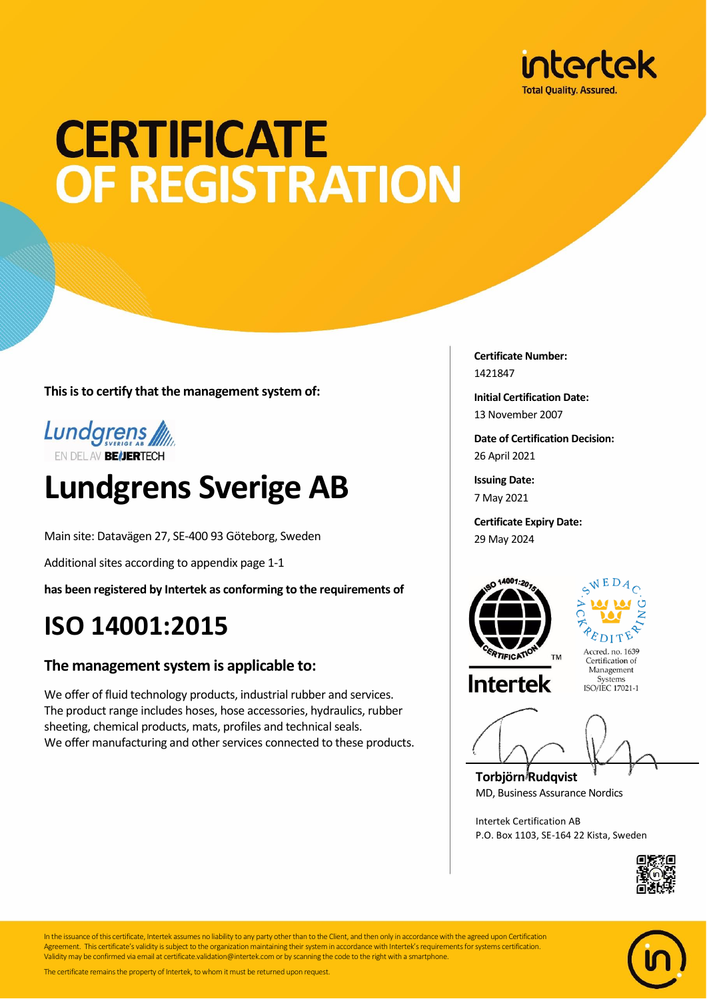

## **CERTIFICATE** OF REGISTRATION

**This is to certify that the management system of:**



### **Lundgrens Sverige AB**

Main site: Datavägen 27, SE-400 93 Göteborg, Sweden

Additional sites according to appendix page 1-1

**has been registered by Intertek as conforming to the requirements of**

### **ISO 14001:2015**

#### **The management system is applicable to:**

We offer of fluid technology products, industrial rubber and services. The product range includes hoses, hose accessories, hydraulics, rubber sheeting, chemical products, mats, profiles and technical seals. We offer manufacturing and other services connected to these products. **Certificate Number:** 1421847

**Initial Certification Date:** 13 November 2007

**Date of Certification Decision:** 26 April 2021

**Issuing Date:** 7 May 2021

**Certificate Expiry Date:** 29 May 2024





Accred. no. 1639 Certification of Management Systems<br>ISO/IEC 17021-1

**Torbjörn Rudqvist** MD, Business Assurance Nordics

Intertek Certification AB P.O. Box 1103, SE-164 22 Kista, Sweden





In the issuance of this certificate, Intertek assumes no liability to any party other than to the Client, and then only in accordance with the agreed upon Certification Agreement. This certificate's validity is subject to the organization maintaining their system in accordance with Intertek's requirements for systems certification. Validity may be confirmed via email at certificate.validation@intertek.com or by scanning the code to the right with a smartphone.

The certificate remains the property of Intertek, to whom it must be returned upon request.